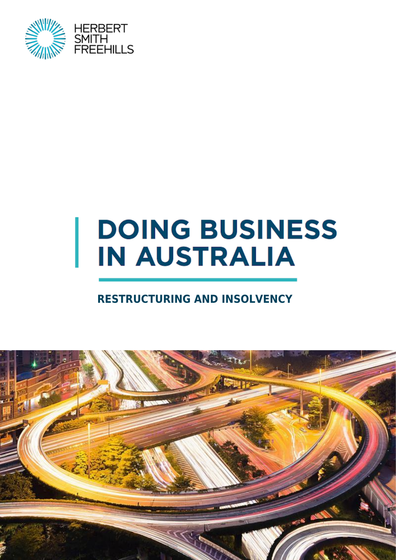

# **DOING BUSINESS IN AUSTRALIA**

### **RESTRUCTURING AND INSOLVENCY**

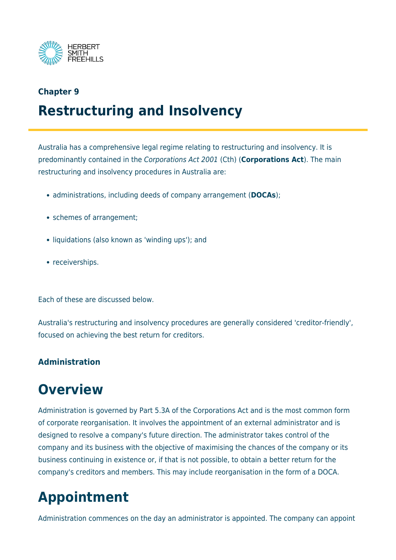

#### **Chapter 9**

### **Restructuring and Insolvency**

Australia has a comprehensive legal regime relating to restructuring and insolvency. It is predominantly contained in the Corporations Act 2001 (Cth) (**Corporations Act**). The main restructuring and insolvency procedures in Australia are:

- administrations, including deeds of company arrangement (**DOCAs**);
- schemes of arrangement;
- liquidations (also known as 'winding ups'); and
- receiverships.

Each of these are discussed below.

Australia's restructuring and insolvency procedures are generally considered 'creditor-friendly', focused on achieving the best return for creditors.

#### **Administration**

### **Overview**

Administration is governed by Part 5.3A of the Corporations Act and is the most common form of corporate reorganisation. It involves the appointment of an external administrator and is designed to resolve a company's future direction. The administrator takes control of the company and its business with the objective of maximising the chances of the company or its business continuing in existence or, if that is not possible, to obtain a better return for the company's creditors and members. This may include reorganisation in the form of a DOCA.

# **Appointment**

Administration commences on the day an administrator is appointed. The company can appoint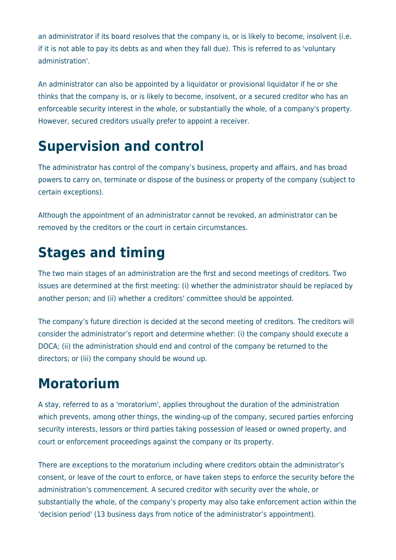an administrator if its board resolves that the company is, or is likely to become, insolvent (i.e. if it is not able to pay its debts as and when they fall due). This is referred to as 'voluntary administration'.

An administrator can also be appointed by a liquidator or provisional liquidator if he or she thinks that the company is, or is likely to become, insolvent, or a secured creditor who has an enforceable security interest in the whole, or substantially the whole, of a company's property. However, secured creditors usually prefer to appoint a receiver.

### **Supervision and control**

The administrator has control of the company's business, property and affairs, and has broad powers to carry on, terminate or dispose of the business or property of the company (subject to certain exceptions).

Although the appointment of an administrator cannot be revoked, an administrator can be removed by the creditors or the court in certain circumstances.

# **Stages and timing**

The two main stages of an administration are the first and second meetings of creditors. Two issues are determined at the first meeting: (i) whether the administrator should be replaced by another person; and (ii) whether a creditors' committee should be appointed.

The company's future direction is decided at the second meeting of creditors. The creditors will consider the administrator's report and determine whether: (i) the company should execute a DOCA; (ii) the administration should end and control of the company be returned to the directors; or (iii) the company should be wound up.

# **Moratorium**

A stay, referred to as a 'moratorium', applies throughout the duration of the administration which prevents, among other things, the winding-up of the company, secured parties enforcing security interests, lessors or third parties taking possession of leased or owned property, and court or enforcement proceedings against the company or its property.

There are exceptions to the moratorium including where creditors obtain the administrator's consent, or leave of the court to enforce, or have taken steps to enforce the security before the administration's commencement. A secured creditor with security over the whole, or substantially the whole, of the company's property may also take enforcement action within the 'decision period' (13 business days from notice of the administrator's appointment).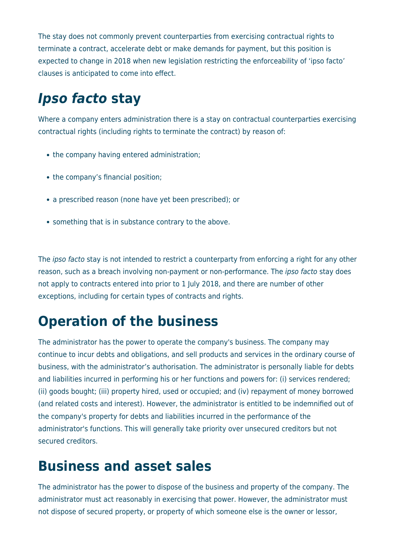The stay does not commonly prevent counterparties from exercising contractual rights to terminate a contract, accelerate debt or make demands for payment, but this position is expected to change in 2018 when new legislation restricting the enforceability of 'ipso facto' clauses is anticipated to come into effect.

# *Ipso facto* **stay**

Where a company enters administration there is a stay on contractual counterparties exercising contractual rights (including rights to terminate the contract) by reason of:

- the company having entered administration;
- the company's financial position;
- a prescribed reason (none have yet been prescribed); or
- something that is in substance contrary to the above.

The *ipso facto* stay is not intended to restrict a counterparty from enforcing a right for any other reason, such as a breach involving non-payment or non-performance. The ipso facto stay does not apply to contracts entered into prior to 1 July 2018, and there are number of other exceptions, including for certain types of contracts and rights.

# **Operation of the business**

The administrator has the power to operate the company's business. The company may continue to incur debts and obligations, and sell products and services in the ordinary course of business, with the administrator's authorisation. The administrator is personally liable for debts and liabilities incurred in performing his or her functions and powers for: (i) services rendered; (ii) goods bought; (iii) property hired, used or occupied; and (iv) repayment of money borrowed (and related costs and interest). However, the administrator is entitled to be indemnified out of the company's property for debts and liabilities incurred in the performance of the administrator's functions. This will generally take priority over unsecured creditors but not secured creditors.

# **Business and asset sales**

The administrator has the power to dispose of the business and property of the company. The administrator must act reasonably in exercising that power. However, the administrator must not dispose of secured property, or property of which someone else is the owner or lessor,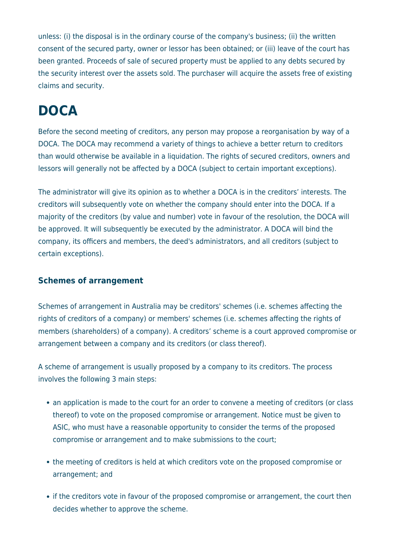unless: (i) the disposal is in the ordinary course of the company's business; (ii) the written consent of the secured party, owner or lessor has been obtained; or (iii) leave of the court has been granted. Proceeds of sale of secured property must be applied to any debts secured by the security interest over the assets sold. The purchaser will acquire the assets free of existing claims and security.

# **DOCA**

Before the second meeting of creditors, any person may propose a reorganisation by way of a DOCA. The DOCA may recommend a variety of things to achieve a better return to creditors than would otherwise be available in a liquidation. The rights of secured creditors, owners and lessors will generally not be affected by a DOCA (subject to certain important exceptions).

The administrator will give its opinion as to whether a DOCA is in the creditors' interests. The creditors will subsequently vote on whether the company should enter into the DOCA. If a majority of the creditors (by value and number) vote in favour of the resolution, the DOCA will be approved. It will subsequently be executed by the administrator. A DOCA will bind the company, its officers and members, the deed's administrators, and all creditors (subject to certain exceptions).

#### **Schemes of arrangement**

Schemes of arrangement in Australia may be creditors' schemes (i.e. schemes affecting the rights of creditors of a company) or members' schemes (i.e. schemes affecting the rights of members (shareholders) of a company). A creditors' scheme is a court approved compromise or arrangement between a company and its creditors (or class thereof).

A scheme of arrangement is usually proposed by a company to its creditors. The process involves the following 3 main steps:

- an application is made to the court for an order to convene a meeting of creditors (or class thereof) to vote on the proposed compromise or arrangement. Notice must be given to ASIC, who must have a reasonable opportunity to consider the terms of the proposed compromise or arrangement and to make submissions to the court;
- the meeting of creditors is held at which creditors vote on the proposed compromise or arrangement; and
- if the creditors vote in favour of the proposed compromise or arrangement, the court then decides whether to approve the scheme.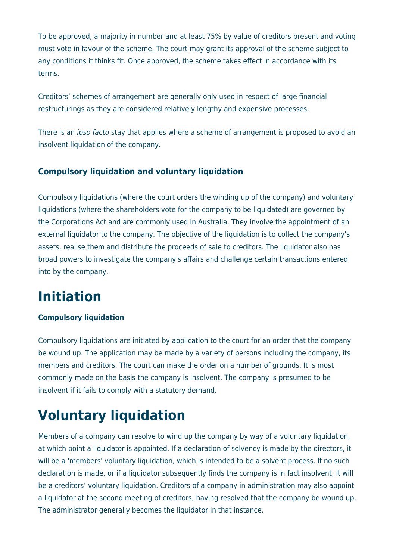To be approved, a majority in number and at least 75% by value of creditors present and voting must vote in favour of the scheme. The court may grant its approval of the scheme subject to any conditions it thinks fit. Once approved, the scheme takes effect in accordance with its terms.

Creditors' schemes of arrangement are generally only used in respect of large financial restructurings as they are considered relatively lengthy and expensive processes.

There is an *ipso facto* stay that applies where a scheme of arrangement is proposed to avoid an insolvent liquidation of the company.

#### **Compulsory liquidation and voluntary liquidation**

Compulsory liquidations (where the court orders the winding up of the company) and voluntary liquidations (where the shareholders vote for the company to be liquidated) are governed by the Corporations Act and are commonly used in Australia. They involve the appointment of an external liquidator to the company. The objective of the liquidation is to collect the company's assets, realise them and distribute the proceeds of sale to creditors. The liquidator also has broad powers to investigate the company's affairs and challenge certain transactions entered into by the company.

# **Initiation**

#### **Compulsory liquidation**

Compulsory liquidations are initiated by application to the court for an order that the company be wound up. The application may be made by a variety of persons including the company, its members and creditors. The court can make the order on a number of grounds. It is most commonly made on the basis the company is insolvent. The company is presumed to be insolvent if it fails to comply with a statutory demand.

# **Voluntary liquidation**

Members of a company can resolve to wind up the company by way of a voluntary liquidation, at which point a liquidator is appointed. If a declaration of solvency is made by the directors, it will be a 'members' voluntary liquidation, which is intended to be a solvent process. If no such declaration is made, or if a liquidator subsequently finds the company is in fact insolvent, it will be a creditors' voluntary liquidation. Creditors of a company in administration may also appoint a liquidator at the second meeting of creditors, having resolved that the company be wound up. The administrator generally becomes the liquidator in that instance.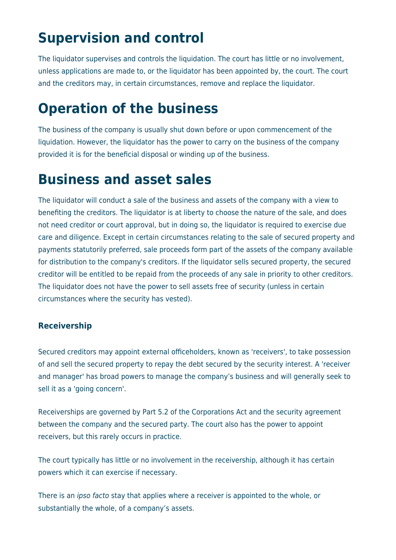# **Supervision and control**

The liquidator supervises and controls the liquidation. The court has little or no involvement, unless applications are made to, or the liquidator has been appointed by, the court. The court and the creditors may, in certain circumstances, remove and replace the liquidator.

# **Operation of the business**

The business of the company is usually shut down before or upon commencement of the liquidation. However, the liquidator has the power to carry on the business of the company provided it is for the beneficial disposal or winding up of the business.

### **Business and asset sales**

The liquidator will conduct a sale of the business and assets of the company with a view to benefiting the creditors. The liquidator is at liberty to choose the nature of the sale, and does not need creditor or court approval, but in doing so, the liquidator is required to exercise due care and diligence. Except in certain circumstances relating to the sale of secured property and payments statutorily preferred, sale proceeds form part of the assets of the company available for distribution to the company's creditors. If the liquidator sells secured property, the secured creditor will be entitled to be repaid from the proceeds of any sale in priority to other creditors. The liquidator does not have the power to sell assets free of security (unless in certain circumstances where the security has vested).

#### **Receivership**

Secured creditors may appoint external officeholders, known as 'receivers', to take possession of and sell the secured property to repay the debt secured by the security interest. A 'receiver and manager' has broad powers to manage the company's business and will generally seek to sell it as a 'going concern'.

Receiverships are governed by Part 5.2 of the Corporations Act and the security agreement between the company and the secured party. The court also has the power to appoint receivers, but this rarely occurs in practice.

The court typically has little or no involvement in the receivership, although it has certain powers which it can exercise if necessary.

There is an ipso facto stay that applies where a receiver is appointed to the whole, or substantially the whole, of a company's assets.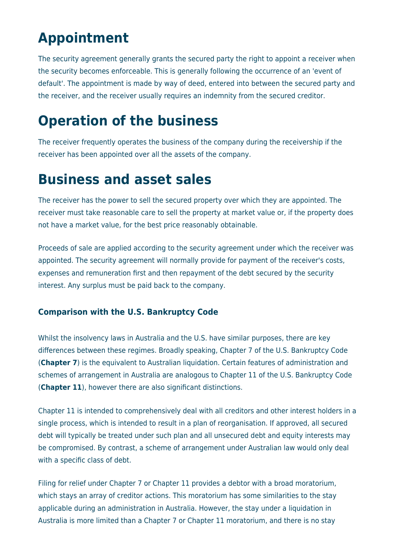# **Appointment**

The security agreement generally grants the secured party the right to appoint a receiver when the security becomes enforceable. This is generally following the occurrence of an 'event of default'. The appointment is made by way of deed, entered into between the secured party and the receiver, and the receiver usually requires an indemnity from the secured creditor.

# **Operation of the business**

The receiver frequently operates the business of the company during the receivership if the receiver has been appointed over all the assets of the company.

### **Business and asset sales**

The receiver has the power to sell the secured property over which they are appointed. The receiver must take reasonable care to sell the property at market value or, if the property does not have a market value, for the best price reasonably obtainable.

Proceeds of sale are applied according to the security agreement under which the receiver was appointed. The security agreement will normally provide for payment of the receiver's costs, expenses and remuneration first and then repayment of the debt secured by the security interest. Any surplus must be paid back to the company.

#### **Comparison with the U.S. Bankruptcy Code**

Whilst the insolvency laws in Australia and the U.S. have similar purposes, there are key differences between these regimes. Broadly speaking, Chapter 7 of the U.S. Bankruptcy Code (**Chapter 7**) is the equivalent to Australian liquidation. Certain features of administration and schemes of arrangement in Australia are analogous to Chapter 11 of the U.S. Bankruptcy Code (**Chapter 11**), however there are also significant distinctions.

Chapter 11 is intended to comprehensively deal with all creditors and other interest holders in a single process, which is intended to result in a plan of reorganisation. If approved, all secured debt will typically be treated under such plan and all unsecured debt and equity interests may be compromised. By contrast, a scheme of arrangement under Australian law would only deal with a specific class of debt.

Filing for relief under Chapter 7 or Chapter 11 provides a debtor with a broad moratorium, which stays an array of creditor actions. This moratorium has some similarities to the stay applicable during an administration in Australia. However, the stay under a liquidation in Australia is more limited than a Chapter 7 or Chapter 11 moratorium, and there is no stay